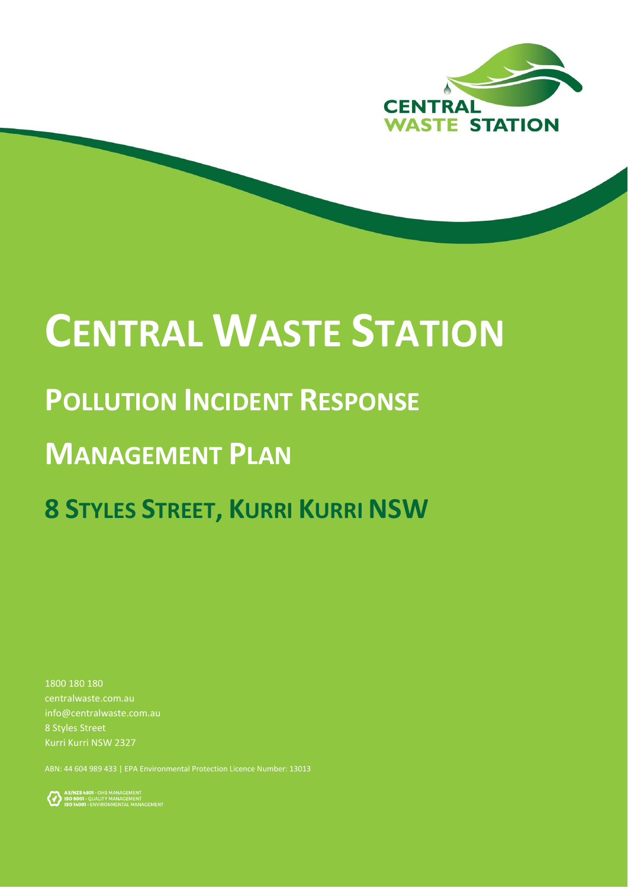

# **CENTRAL WASTE STATION**

## **POLLUTION INCIDENT RESPONSE**

# **MANAGEMENT PLAN**

# **8 STYLES STREET, KURRI KURRI NSW**

1800 180 180 centralwaste.com.au info@centralwaste.com.au 8 Styles Street Kurri Kurri NSW 2327

ABN: 44 604 989 433 | EPA Environmental Protection Licence Number: 13013

AS/NZS4801 - OHS MANAGEMENT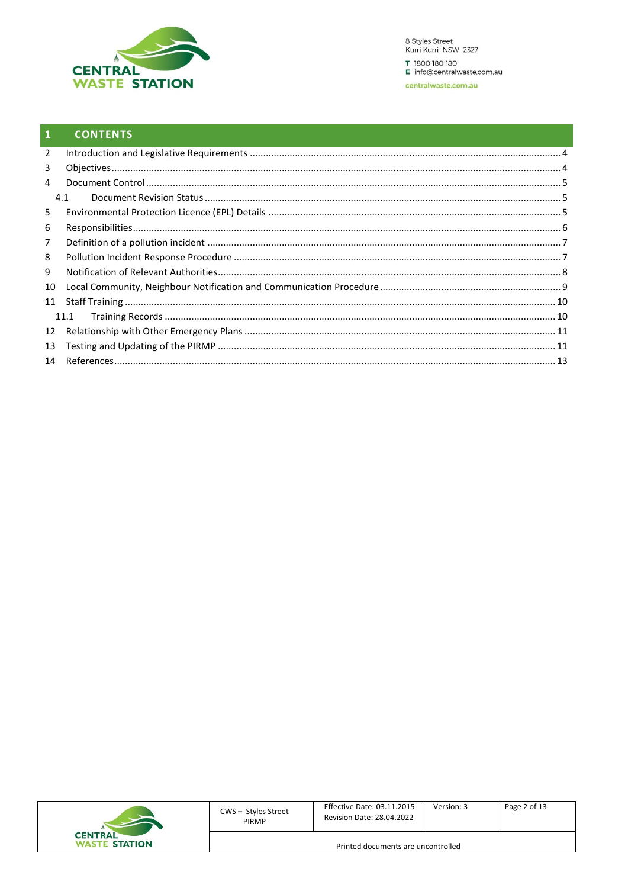

#### $\mathbf{1}$ **CONTENTS**

| $\overline{2}$ |      |  |
|----------------|------|--|
| 3              |      |  |
|                |      |  |
| 4              |      |  |
|                | 4.1  |  |
| 5              |      |  |
| 6              |      |  |
| 7              |      |  |
| 8              |      |  |
| 9              |      |  |
| 10             |      |  |
| 11             |      |  |
|                | 11.1 |  |
| 12             |      |  |
| 13             |      |  |
|                |      |  |

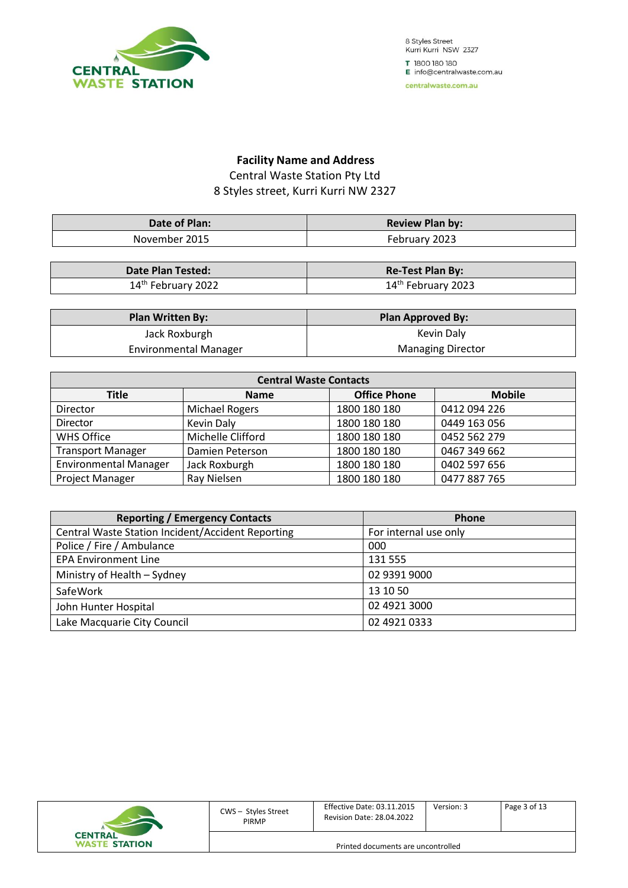

8 Styles Street Kurri Kurri NSW 2327 T 1800 180 180 E info@centralwaste.com.au

#### centralwaste.com.au

#### **Facility Name and Address** Central Waste Station Pty Ltd 8 Styles street, Kurri Kurri NW 2327

| Date of Plan: | <b>Review Plan by:</b> |
|---------------|------------------------|
| November 2015 | February 2023          |

| <b>Date Plan Tested:</b>       | <b>Re-Test Plan By:</b>        |
|--------------------------------|--------------------------------|
| 14 <sup>th</sup> February 2022 | 14 <sup>th</sup> February 2023 |

| <b>Plan Written By:</b>      | <b>Plan Approved By:</b> |
|------------------------------|--------------------------|
| Jack Roxburgh                | Kevin Daly               |
| <b>Environmental Manager</b> | <b>Managing Director</b> |

| <b>Central Waste Contacts</b> |                   |                     |               |  |
|-------------------------------|-------------------|---------------------|---------------|--|
| <b>Title</b>                  | <b>Name</b>       | <b>Office Phone</b> | <b>Mobile</b> |  |
| Director                      | Michael Rogers    | 1800 180 180        | 0412 094 226  |  |
| Director                      | <b>Kevin Daly</b> | 1800 180 180        | 0449 163 056  |  |
| <b>WHS Office</b>             | Michelle Clifford | 1800 180 180        | 0452 562 279  |  |
| <b>Transport Manager</b>      | Damien Peterson   | 1800 180 180        | 0467 349 662  |  |
| <b>Environmental Manager</b>  | Jack Roxburgh     | 1800 180 180        | 0402 597 656  |  |
| Project Manager               | Ray Nielsen       | 1800 180 180        | 0477 887 765  |  |

| <b>Reporting / Emergency Contacts</b>             | Phone                 |
|---------------------------------------------------|-----------------------|
| Central Waste Station Incident/Accident Reporting | For internal use only |
| Police / Fire / Ambulance                         | 000                   |
| <b>EPA Environment Line</b>                       | 131 555               |
| Ministry of Health - Sydney                       | 02 9391 9000          |
| SafeWork                                          | 13 10 50              |
| John Hunter Hospital                              | 02 4921 3000          |
| Lake Macquarie City Council                       | 02 4921 0333          |

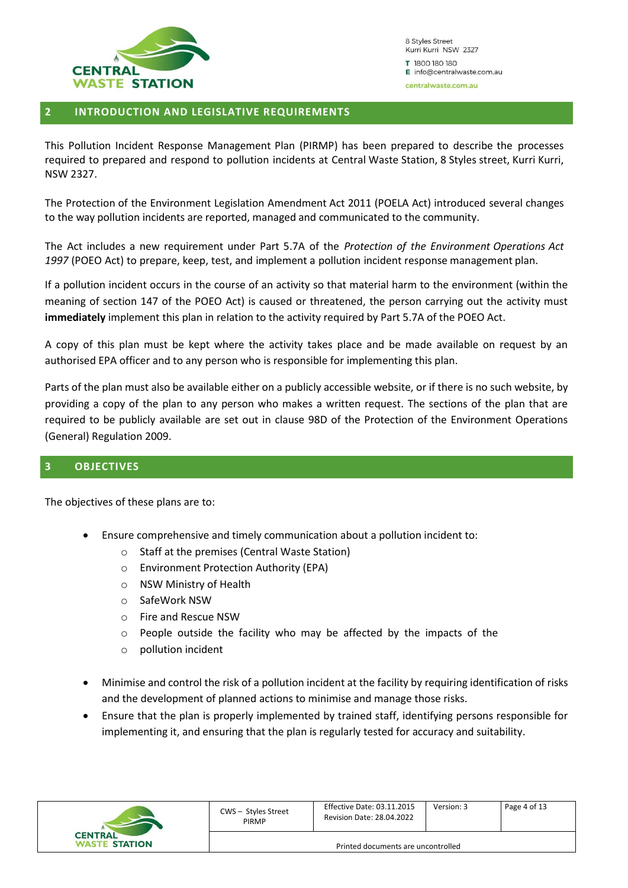

#### <span id="page-3-0"></span>**2 INTRODUCTION AND LEGISLATIVE REQUIREMENTS**

This Pollution Incident Response Management Plan (PIRMP) has been prepared to describe the processes required to prepared and respond to pollution incidents at Central Waste Station, 8 Styles street, Kurri Kurri, NSW 2327.

The Protection of the Environment Legislation Amendment Act 2011 (POELA Act) introduced several changes to the way pollution incidents are reported, managed and communicated to the community.

The Act includes a new requirement under Part 5.7A of the *Protection of the Environment Operations Act 1997* (POEO Act) to prepare, keep, test, and implement a pollution incident response management plan.

If a pollution incident occurs in the course of an activity so that material harm to the environment (within the meaning of section 147 of the POEO Act) is caused or threatened, the person carrying out the activity must **immediately** implement this plan in relation to the activity required by Part 5.7A of the POEO Act.

A copy of this plan must be kept where the activity takes place and be made available on request by an authorised EPA officer and to any person who is responsible for implementing this plan.

Parts of the plan must also be available either on a publicly accessible website, or if there is no such website, by providing a copy of the plan to any person who makes a written request. The sections of the plan that are required to be publicly available are set out in clause 98D of the Protection of the Environment Operations (General) Regulation 2009.

#### <span id="page-3-1"></span>**3 OBJECTIVES**

The objectives of these plans are to:

- Ensure comprehensive and timely communication about a pollution incident to:
	- o Staff at the premises (Central Waste Station)
	- o Environment Protection Authority (EPA)
	- o NSW Ministry of Health
	- o SafeWork NSW
	- o Fire and Rescue NSW
	- o People outside the facility who may be affected by the impacts of the
	- o pollution incident
- Minimise and control the risk of a pollution incident at the facility by requiring identification of risks and the development of planned actions to minimise and manage those risks.
- Ensure that the plan is properly implemented by trained staff, identifying persons responsible for implementing it, and ensuring that the plan is regularly tested for accuracy and suitability.

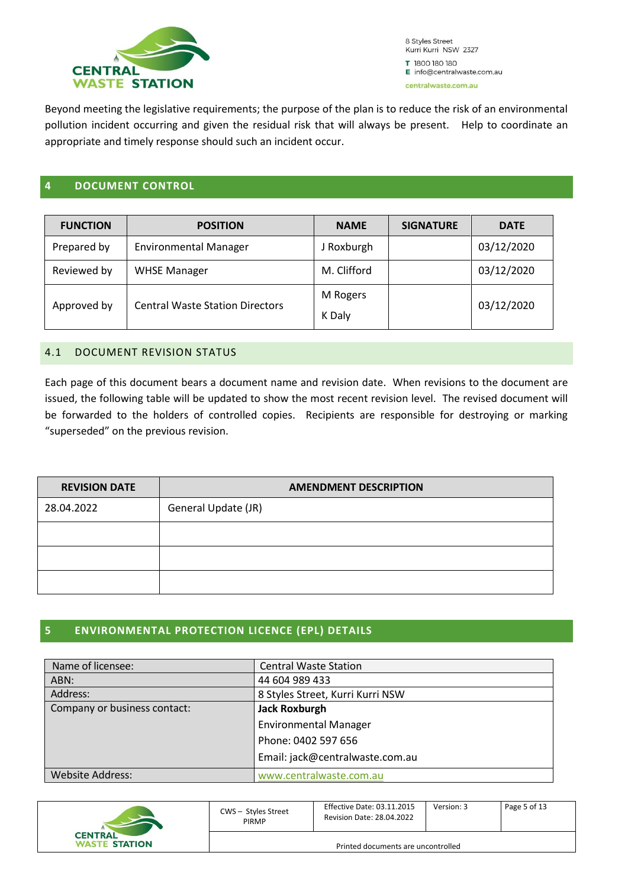

Beyond meeting the legislative requirements; the purpose of the plan is to reduce the risk of an environmental pollution incident occurring and given the residual risk that will always be present. Help to coordinate an appropriate and timely response should such an incident occur.

#### <span id="page-4-0"></span>**4 DOCUMENT CONTROL**

| <b>FUNCTION</b> | <b>POSITION</b>                        | <b>NAME</b>        | <b>SIGNATURE</b> | <b>DATE</b> |
|-----------------|----------------------------------------|--------------------|------------------|-------------|
| Prepared by     | <b>Environmental Manager</b>           | J Roxburgh         |                  | 03/12/2020  |
| Reviewed by     | <b>WHSE Manager</b>                    | M. Clifford        |                  | 03/12/2020  |
| Approved by     | <b>Central Waste Station Directors</b> | M Rogers<br>K Daly |                  | 03/12/2020  |

#### <span id="page-4-1"></span>4.1 DOCUMENT REVISION STATUS

Each page of this document bears a document name and revision date. When revisions to the document are issued, the following table will be updated to show the most recent revision level. The revised document will be forwarded to the holders of controlled copies. Recipients are responsible for destroying or marking "superseded" on the previous revision.

| <b>REVISION DATE</b> | <b>AMENDMENT DESCRIPTION</b> |  |  |
|----------------------|------------------------------|--|--|
| 28.04.2022           | General Update (JR)          |  |  |
|                      |                              |  |  |
|                      |                              |  |  |
|                      |                              |  |  |

#### <span id="page-4-2"></span>**5 ENVIRONMENTAL PROTECTION LICENCE (EPL) DETAILS**

| Name of licensee:            | <b>Central Waste Station</b>     |  |
|------------------------------|----------------------------------|--|
| ABN:                         | 44 604 989 433                   |  |
| Address:                     | 8 Styles Street, Kurri Kurri NSW |  |
| Company or business contact: | <b>Jack Roxburgh</b>             |  |
|                              | <b>Environmental Manager</b>     |  |
|                              | Phone: 0402 597 656              |  |
|                              | Email: jack@centralwaste.com.au  |  |
| <b>Website Address:</b>      | www.centralwaste.com.au          |  |

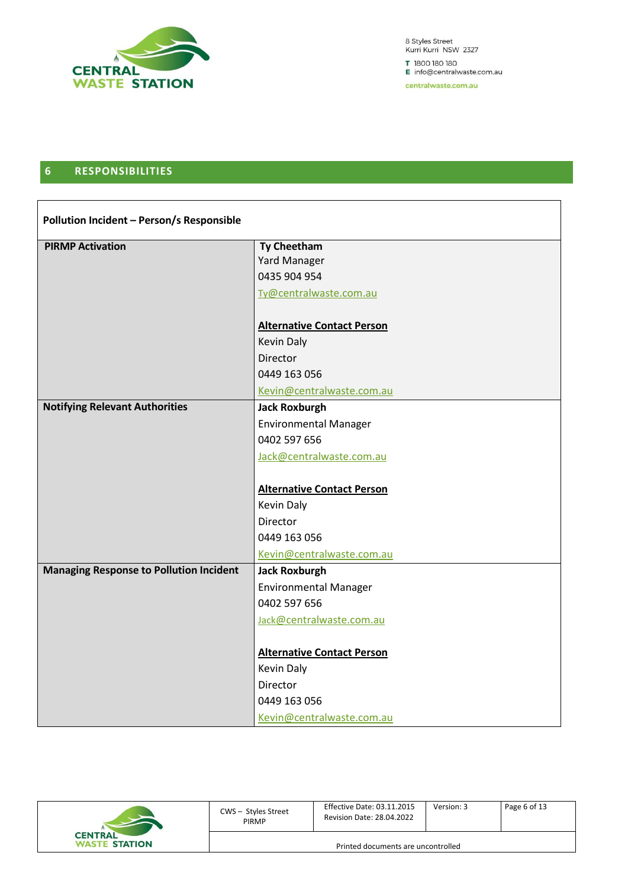

8 Styles Street<br>Kurri Kurri NSW 2327 T 1800 180 180 E info@centralwaste.com.au

centralwaste.com.au

#### <span id="page-5-0"></span>**6 RESPONSIBILITIES**

| Pollution Incident - Person/s Responsible      |                                   |  |  |
|------------------------------------------------|-----------------------------------|--|--|
| <b>PIRMP Activation</b>                        | <b>Ty Cheetham</b>                |  |  |
|                                                | <b>Yard Manager</b>               |  |  |
|                                                | 0435 904 954                      |  |  |
|                                                | Ty@centralwaste.com.au            |  |  |
|                                                | <b>Alternative Contact Person</b> |  |  |
|                                                | <b>Kevin Daly</b>                 |  |  |
|                                                | Director                          |  |  |
|                                                | 0449 163 056                      |  |  |
|                                                | Kevin@centralwaste.com.au         |  |  |
| <b>Notifying Relevant Authorities</b>          | <b>Jack Roxburgh</b>              |  |  |
|                                                | <b>Environmental Manager</b>      |  |  |
|                                                | 0402 597 656                      |  |  |
|                                                | Jack@centralwaste.com.au          |  |  |
|                                                |                                   |  |  |
|                                                | <b>Alternative Contact Person</b> |  |  |
|                                                | <b>Kevin Daly</b>                 |  |  |
|                                                | Director                          |  |  |
|                                                | 0449 163 056                      |  |  |
|                                                | Kevin@centralwaste.com.au         |  |  |
| <b>Managing Response to Pollution Incident</b> | <b>Jack Roxburgh</b>              |  |  |
|                                                | <b>Environmental Manager</b>      |  |  |
|                                                | 0402 597 656                      |  |  |
|                                                | Jack@centralwaste.com.au          |  |  |
|                                                |                                   |  |  |
|                                                | <b>Alternative Contact Person</b> |  |  |
|                                                | Kevin Daly                        |  |  |
|                                                | Director                          |  |  |
|                                                | 0449 163 056                      |  |  |
|                                                | Kevin@centralwaste.com.au         |  |  |

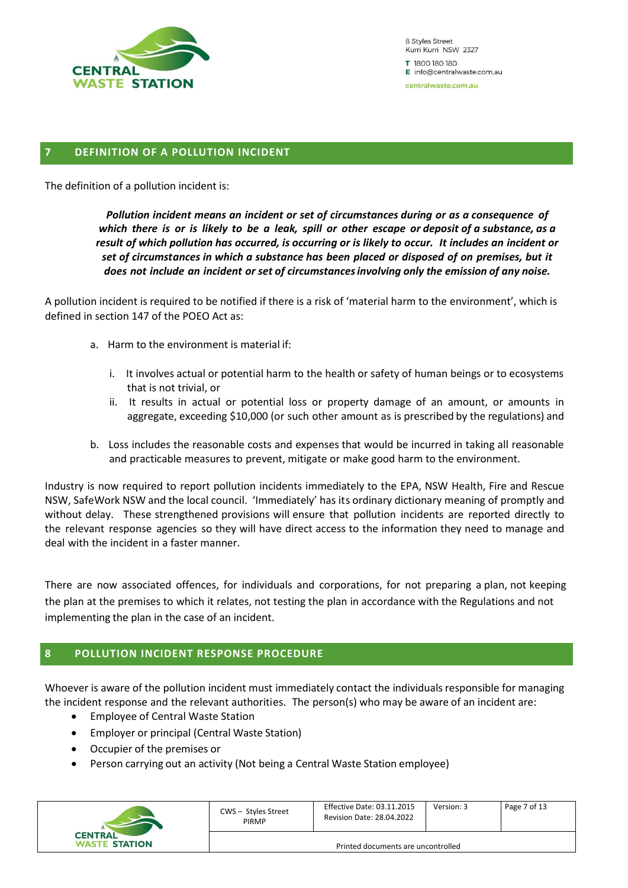

#### <span id="page-6-0"></span>**7 DEFINITION OF A POLLUTION INCIDENT**

The definition of a pollution incident is:

*Pollution incident means an incident or set of circumstances during or as a consequence of* which there is or is likely to be a leak, spill or other escape or deposit of a substance, as a *result of which pollution has occurred, is occurring or is likely to occur. It includes an incident or set of circumstances in which a substance has been placed or disposed of on premises, but it does not include an incident or set of circumstancesinvolving only the emission of any noise.*

A pollution incident is required to be notified if there is a risk of 'material harm to the environment', which is defined in section 147 of the POEO Act as:

- a. Harm to the environment is material if:
	- i. It involves actual or potential harm to the health or safety of human beings or to ecosystems that is not trivial, or
	- ii. It results in actual or potential loss or property damage of an amount, or amounts in aggregate, exceeding \$10,000 (or such other amount as is prescribed by the regulations) and
- b. Loss includes the reasonable costs and expenses that would be incurred in taking all reasonable and practicable measures to prevent, mitigate or make good harm to the environment.

Industry is now required to report pollution incidents immediately to the EPA, NSW Health, Fire and Rescue NSW, SafeWork NSW and the local council. 'Immediately' has its ordinary dictionary meaning of promptly and without delay. These strengthened provisions will ensure that pollution incidents are reported directly to the relevant response agencies so they will have direct access to the information they need to manage and deal with the incident in a faster manner.

There are now associated offences, for individuals and corporations, for not preparing a plan, not keeping the plan at the premises to which it relates, not testing the plan in accordance with the Regulations and not implementing the plan in the case of an incident.

#### <span id="page-6-1"></span>**8 POLLUTION INCIDENT RESPONSE PROCEDURE**

Whoever is aware of the pollution incident must immediately contact the individuals responsible for managing the incident response and the relevant authorities. The person(s) who may be aware of an incident are:

- Employee of Central Waste Station
- Employer or principal (Central Waste Station)
- Occupier of the premises or
- Person carrying out an activity (Not being a Central Waste Station employee)

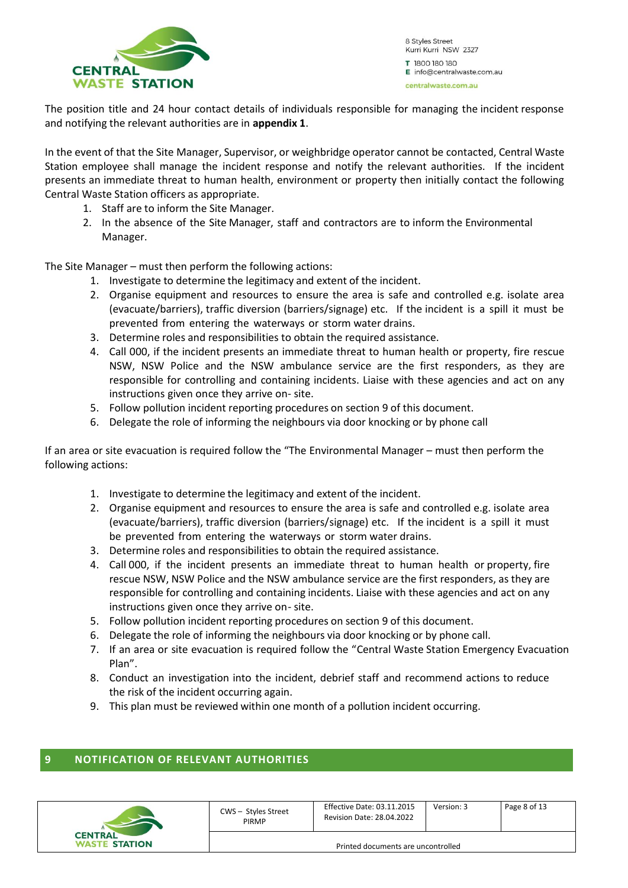

The position title and 24 hour contact details of individuals responsible for managing the incident response and notifying the relevant authorities are in **appendix 1**.

In the event of that the Site Manager, Supervisor, or weighbridge operator cannot be contacted, Central Waste Station employee shall manage the incident response and notify the relevant authorities. If the incident presents an immediate threat to human health, environment or property then initially contact the following Central Waste Station officers as appropriate.

- 1. Staff are to inform the Site Manager.
- 2. In the absence of the Site Manager, staff and contractors are to inform the Environmental Manager.

The Site Manager – must then perform the following actions:

- 1. Investigate to determine the legitimacy and extent of the incident.
- 2. Organise equipment and resources to ensure the area is safe and controlled e.g. isolate area (evacuate/barriers), traffic diversion (barriers/signage) etc. If the incident is a spill it must be prevented from entering the waterways or storm water drains.
- 3. Determine roles and responsibilities to obtain the required assistance.
- 4. Call 000, if the incident presents an immediate threat to human health or property, fire rescue NSW, NSW Police and the NSW ambulance service are the first responders, as they are responsible for controlling and containing incidents. Liaise with these agencies and act on any instructions given once they arrive on- site.
- 5. Follow pollution incident reporting procedures on section 9 of this document.
- 6. Delegate the role of informing the neighbours via door knocking or by phone call

If an area or site evacuation is required follow the "The Environmental Manager – must then perform the following actions:

- 1. Investigate to determine the legitimacy and extent of the incident.
- 2. Organise equipment and resources to ensure the area is safe and controlled e.g. isolate area (evacuate/barriers), traffic diversion (barriers/signage) etc. If the incident is a spill it must be prevented from entering the waterways or storm water drains.
- 3. Determine roles and responsibilities to obtain the required assistance.
- 4. Call 000, if the incident presents an immediate threat to human health or property, fire rescue NSW, NSW Police and the NSW ambulance service are the first responders, as they are responsible for controlling and containing incidents. Liaise with these agencies and act on any instructions given once they arrive on- site.
- 5. Follow pollution incident reporting procedures on section 9 of this document.
- 6. Delegate the role of informing the neighbours via door knocking or by phone call.
- 7. If an area or site evacuation is required follow the "Central Waste Station Emergency Evacuation Plan".
- 8. Conduct an investigation into the incident, debrief staff and recommend actions to reduce the risk of the incident occurring again.
- 9. This plan must be reviewed within one month of a pollution incident occurring.

#### <span id="page-7-0"></span>**9 NOTIFICATION OF RELEVANT AUTHORITIES**

| <b>CENTRAL</b><br><b>WASTE STATION</b> | CWS - Styles Street<br><b>PIRMP</b> | Effective Date: 03.11.2015<br><b>Revision Date: 28.04.2022</b> | Version: 3 | Page 8 of 13 |
|----------------------------------------|-------------------------------------|----------------------------------------------------------------|------------|--------------|
|                                        | Printed documents are uncontrolled  |                                                                |            |              |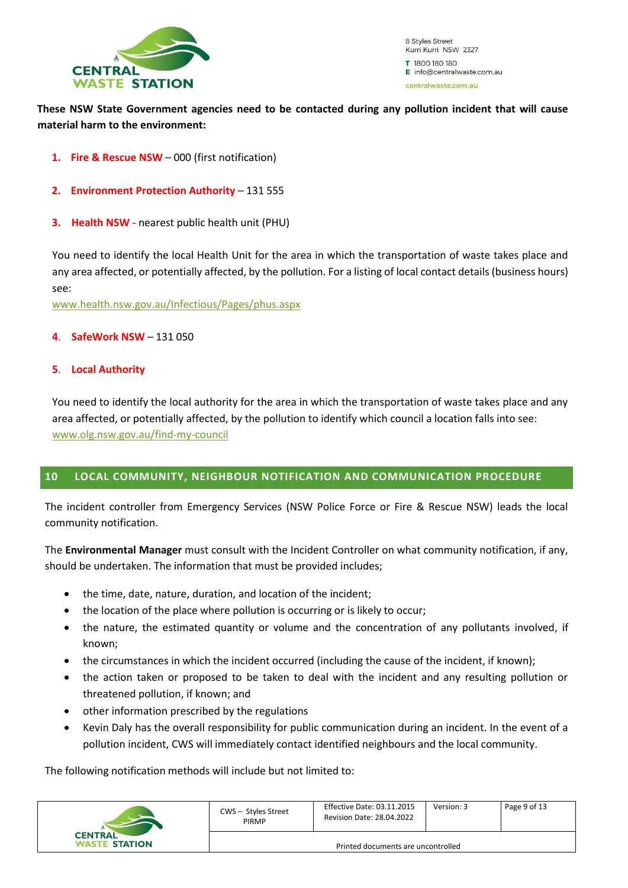

#### **These NSW State Government agencies need to be contacted during any pollution incident that will cause material harm to the environment:**

- **1. Fire & Rescue NSW** 000 (first notification)
- **2. Environment Protection Authority** 131 555
- **3. Health NSW** nearest public health unit (PHU)

You need to identify the local Health Unit for the area in which the transportation of waste takes place and any area affected, or potentially affected, by the pollution. For a listing of local contact details (business hours) see:

[www.health.nsw.gov.au/Infectious/Pages/phus.aspx](http://www.health.nsw.gov.au/Infectious/Pages/phus.aspx)

#### **4**. **SafeWork NSW** – 131 050

#### **5**. **Local Authority**

You need to identify the local authority for the area in which the transportation of waste takes place and any area affected, or potentially affected, by the pollution to identify which council a location falls into see: [www.olg.nsw.gov.au/find-my-council](http://www.olg.nsw.gov.au/find-my-council)

#### <span id="page-8-0"></span>**10 LOCAL COMMUNITY, NEIGHBOUR NOTIFICATION AND COMMUNICATION PROCEDURE**

The incident controller from Emergency Services (NSW Police Force or Fire & Rescue NSW) leads the local community notification.

The **Environmental Manager** must consult with the Incident Controller on what community notification, if any, should be undertaken. The information that must be provided includes;

- the time, date, nature, duration, and location of the incident;
- the location of the place where pollution is occurring or is likely to occur;
- the nature, the estimated quantity or volume and the concentration of any pollutants involved, if known;
- the circumstances in which the incident occurred (including the cause of the incident, if known);
- the action taken or proposed to be taken to deal with the incident and any resulting pollution or threatened pollution, if known; and
- other information prescribed by the regulations
- Kevin Daly has the overall responsibility for public communication during an incident. In the event of a pollution incident, CWS will immediately contact identified neighbours and the local community.

The following notification methods will include but not limited to:

|                                        | CWS - Styles Street<br><b>PIRMP</b> | <b>Effective Date: 03.11.2015</b><br><b>Revision Date: 28.04.2022</b> | Version: 3 | Page 9 of 13 |  |
|----------------------------------------|-------------------------------------|-----------------------------------------------------------------------|------------|--------------|--|
| <b>CENTRAL</b><br><b>WASTE STATION</b> | Printed documents are uncontrolled  |                                                                       |            |              |  |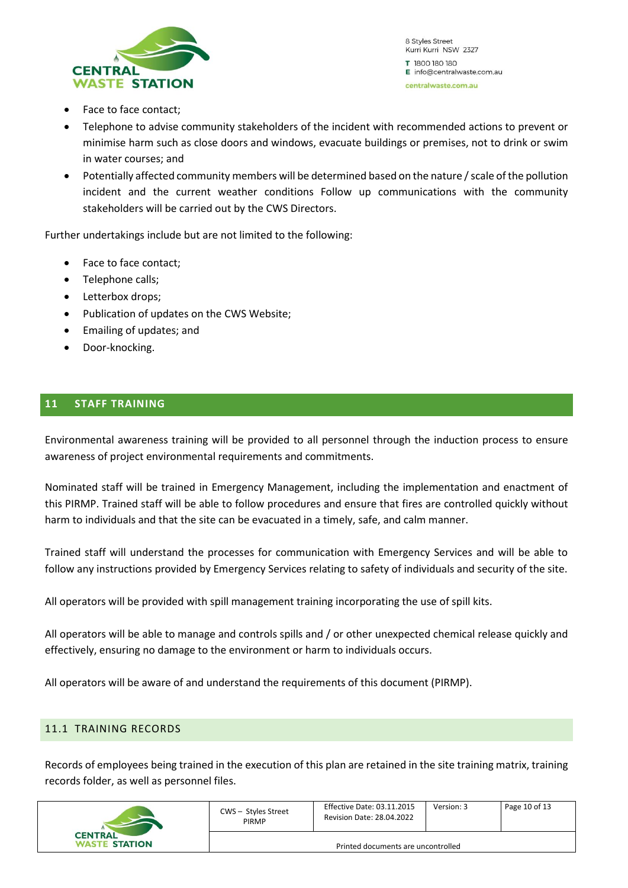

- Face to face contact;
- Telephone to advise community stakeholders of the incident with recommended actions to prevent or minimise harm such as close doors and windows, evacuate buildings or premises, not to drink or swim in water courses; and
- Potentially affected community members will be determined based on the nature / scale of the pollution incident and the current weather conditions Follow up communications with the community stakeholders will be carried out by the CWS Directors.

Further undertakings include but are not limited to the following:

- Face to face contact;
- Telephone calls;
- Letterbox drops;
- Publication of updates on the CWS Website;
- Emailing of updates; and
- Door-knocking.

#### <span id="page-9-0"></span>**11 STAFF TRAINING**

Environmental awareness training will be provided to all personnel through the induction process to ensure awareness of project environmental requirements and commitments.

Nominated staff will be trained in Emergency Management, including the implementation and enactment of this PIRMP. Trained staff will be able to follow procedures and ensure that fires are controlled quickly without harm to individuals and that the site can be evacuated in a timely, safe, and calm manner.

Trained staff will understand the processes for communication with Emergency Services and will be able to follow any instructions provided by Emergency Services relating to safety of individuals and security of the site.

All operators will be provided with spill management training incorporating the use of spill kits.

All operators will be able to manage and controls spills and / or other unexpected chemical release quickly and effectively, ensuring no damage to the environment or harm to individuals occurs.

All operators will be aware of and understand the requirements of this document (PIRMP).

#### <span id="page-9-1"></span>11.1 TRAINING RECORDS

Records of employees being trained in the execution of this plan are retained in the site training matrix, training records folder, as well as personnel files.

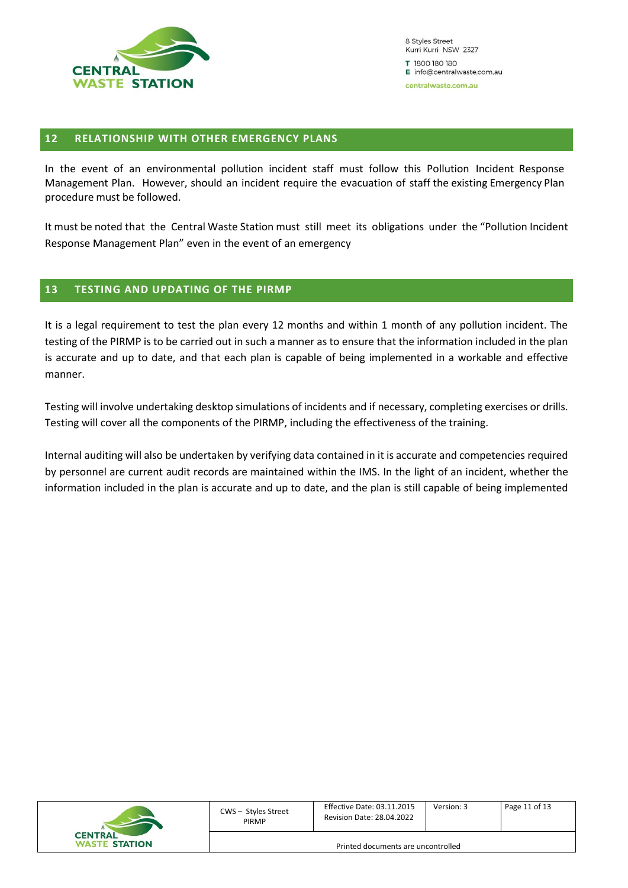

#### <span id="page-10-0"></span>**12 RELATIONSHIP WITH OTHER EMERGENCY PLANS**

In the event of an environmental pollution incident staff must follow this Pollution Incident Response Management Plan. However, should an incident require the evacuation of staff the existing Emergency Plan procedure must be followed.

It must be noted that the Central Waste Station must still meet its obligations under the "Pollution Incident Response Management Plan" even in the event of an emergency

#### <span id="page-10-1"></span>**13 TESTING AND UPDATING OF THE PIRMP**

It is a legal requirement to test the plan every 12 months and within 1 month of any pollution incident. The testing of the PIRMP is to be carried out in such a manner as to ensure that the information included in the plan is accurate and up to date, and that each plan is capable of being implemented in a workable and effective manner.

Testing will involve undertaking desktop simulations of incidents and if necessary, completing exercises or drills. Testing will cover all the components of the PIRMP, including the effectiveness of the training.

Internal auditing will also be undertaken by verifying data contained in it is accurate and competencies required by personnel are current audit records are maintained within the IMS. In the light of an incident, whether the information included in the plan is accurate and up to date, and the plan is still capable of being implemented

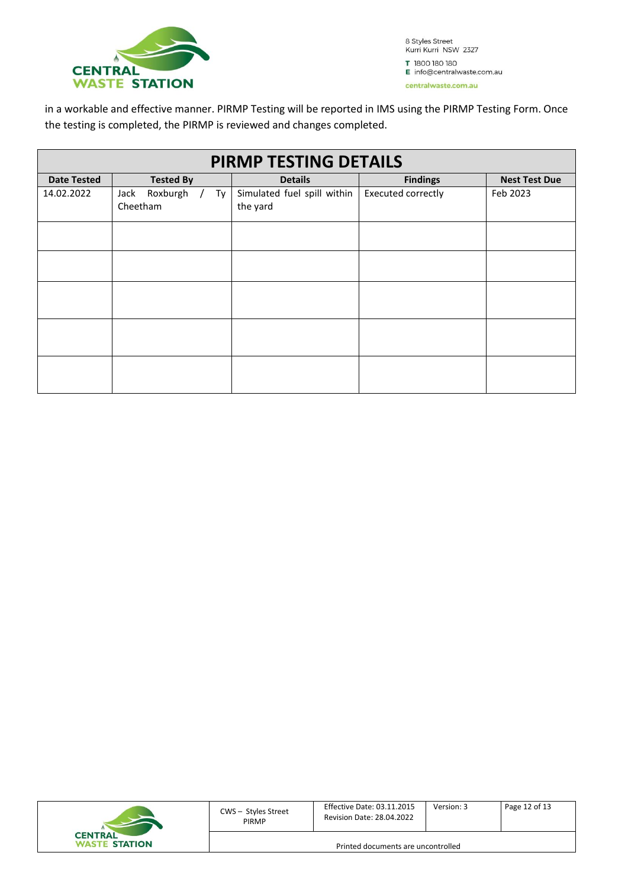

in a workable and effective manner. PIRMP Testing will be reported in IMS using the PIRMP Testing Form. Once the testing is completed, the PIRMP is reviewed and changes completed.

| <b>PIRMP TESTING DETAILS</b> |                                      |                                         |                           |                      |  |  |  |  |  |
|------------------------------|--------------------------------------|-----------------------------------------|---------------------------|----------------------|--|--|--|--|--|
| <b>Date Tested</b>           | <b>Tested By</b>                     | <b>Details</b>                          | <b>Findings</b>           | <b>Nest Test Due</b> |  |  |  |  |  |
| 14.02.2022                   | Roxburgh /<br>Jack<br>Ty<br>Cheetham | Simulated fuel spill within<br>the yard | <b>Executed correctly</b> | Feb 2023             |  |  |  |  |  |
|                              |                                      |                                         |                           |                      |  |  |  |  |  |
|                              |                                      |                                         |                           |                      |  |  |  |  |  |
|                              |                                      |                                         |                           |                      |  |  |  |  |  |
|                              |                                      |                                         |                           |                      |  |  |  |  |  |
|                              |                                      |                                         |                           |                      |  |  |  |  |  |

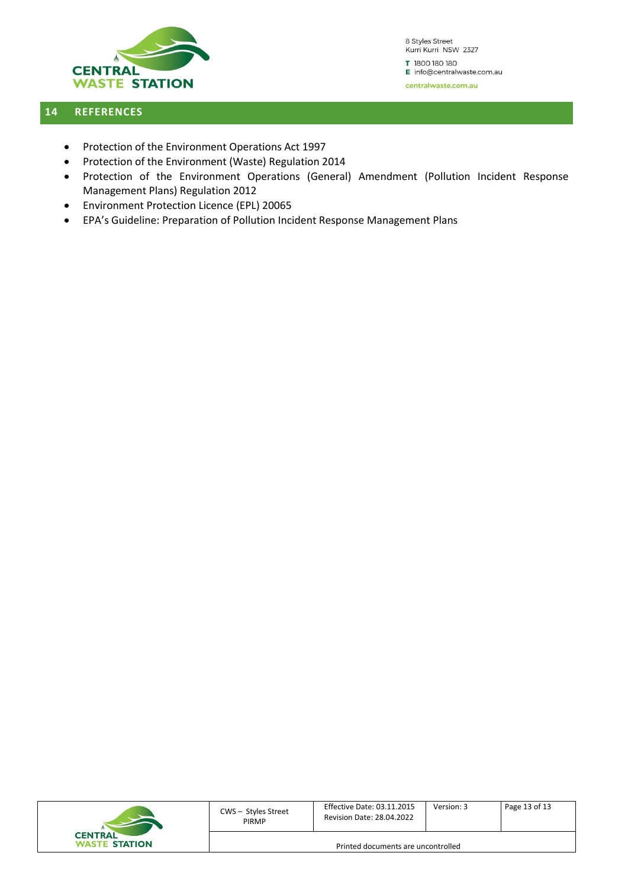

#### <span id="page-12-0"></span>**14 REFERENCES**

- Protection of the Environment Operations Act 1997
- Protection of the Environment (Waste) Regulation 2014
- Protection of the Environment Operations (General) Amendment (Pollution Incident Response Management Plans) Regulation 2012
- Environment Protection Licence (EPL) 20065
- EPA's Guideline: Preparation of Pollution Incident Response Management Plans

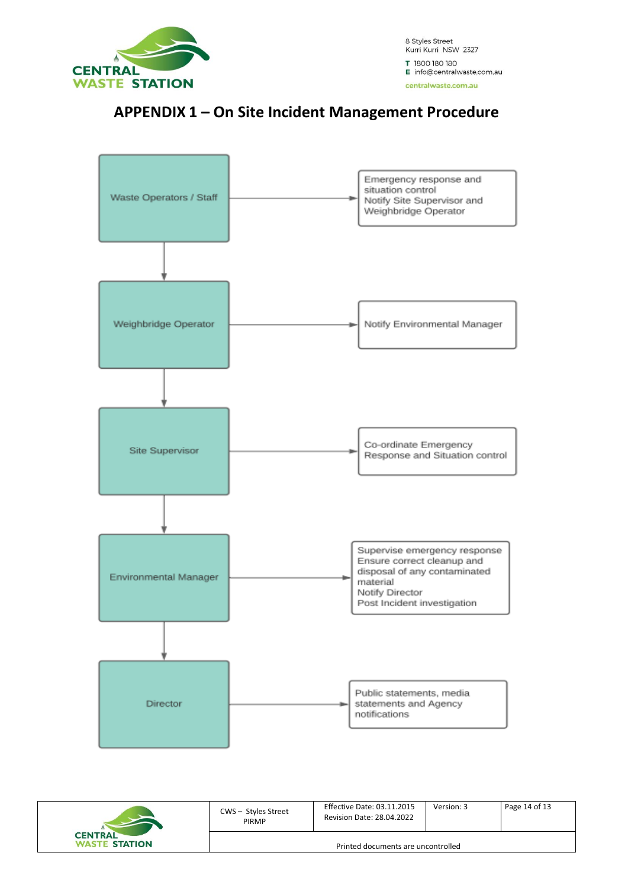

### **APPENDIX 1 – On Site Incident Management Procedure**



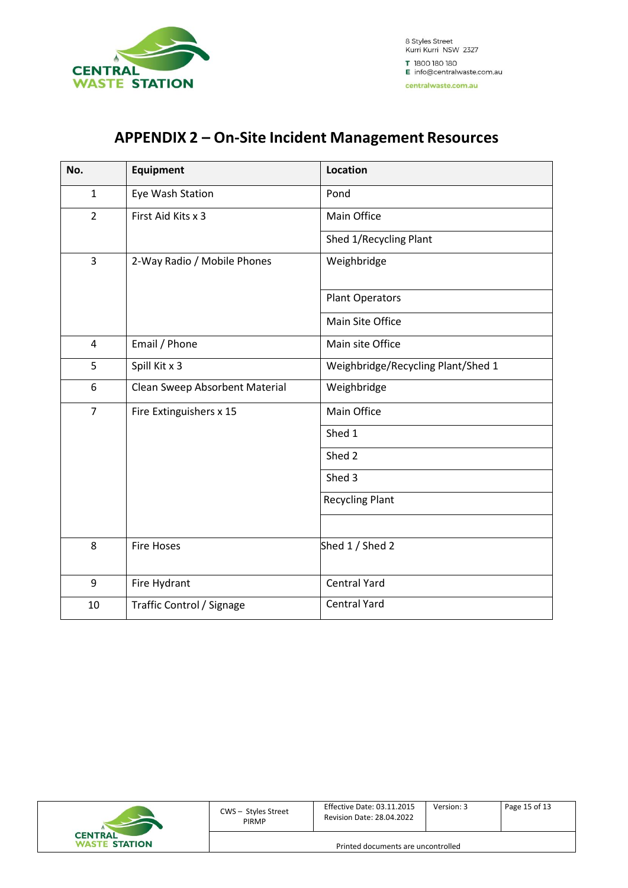

### **APPENDIX 2 – On-Site Incident Management Resources**

| No.            | <b>Equipment</b>               | <b>Location</b>                    |  |  |
|----------------|--------------------------------|------------------------------------|--|--|
| $\mathbf{1}$   | Eye Wash Station               | Pond                               |  |  |
| $\overline{2}$ | First Aid Kits x 3             | Main Office                        |  |  |
|                |                                | Shed 1/Recycling Plant             |  |  |
| 3              | 2-Way Radio / Mobile Phones    | Weighbridge                        |  |  |
|                |                                | <b>Plant Operators</b>             |  |  |
|                |                                | Main Site Office                   |  |  |
| $\overline{4}$ | Email / Phone                  | Main site Office                   |  |  |
| 5              | Spill Kit x 3                  | Weighbridge/Recycling Plant/Shed 1 |  |  |
| 6              | Clean Sweep Absorbent Material | Weighbridge                        |  |  |
| $\overline{7}$ | Fire Extinguishers x 15        | Main Office                        |  |  |
|                |                                | Shed 1                             |  |  |
|                |                                | Shed 2                             |  |  |
|                |                                | Shed 3                             |  |  |
|                |                                | <b>Recycling Plant</b>             |  |  |
|                |                                |                                    |  |  |
| 8              | <b>Fire Hoses</b>              | Shed 1 / Shed 2                    |  |  |
| 9              | Fire Hydrant                   | <b>Central Yard</b>                |  |  |
| 10             | Traffic Control / Signage      | <b>Central Yard</b>                |  |  |